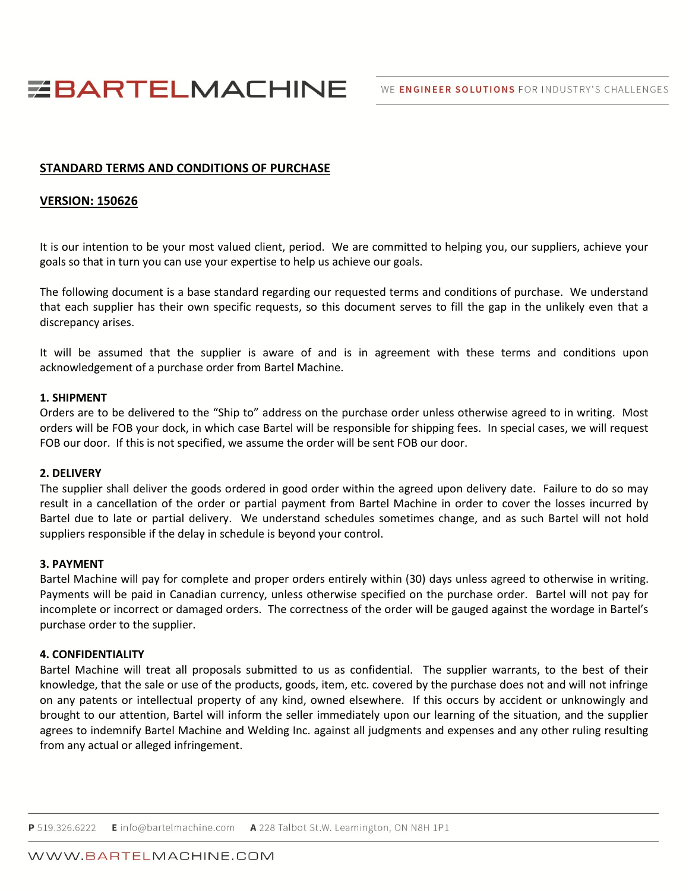WE ENGINEER SOLUTIONS FOR INDUSTRY'S CHALLENGES

# **EBARTELMACHINE**

## **STANDARD TERMS AND CONDITIONS OF PURCHASE**

### **VERSION: 150626**

It is our intention to be your most valued client, period. We are committed to helping you, our suppliers, achieve your goals so that in turn you can use your expertise to help us achieve our goals.

The following document is a base standard regarding our requested terms and conditions of purchase. We understand that each supplier has their own specific requests, so this document serves to fill the gap in the unlikely even that a discrepancy arises.

It will be assumed that the supplier is aware of and is in agreement with these terms and conditions upon acknowledgement of a purchase order from Bartel Machine.

#### **1. SHIPMENT**

Orders are to be delivered to the "Ship to" address on the purchase order unless otherwise agreed to in writing. Most orders will be FOB your dock, in which case Bartel will be responsible for shipping fees. In special cases, we will request FOB our door. If this is not specified, we assume the order will be sent FOB our door.

#### **2. DELIVERY**

The supplier shall deliver the goods ordered in good order within the agreed upon delivery date. Failure to do so may result in a cancellation of the order or partial payment from Bartel Machine in order to cover the losses incurred by Bartel due to late or partial delivery. We understand schedules sometimes change, and as such Bartel will not hold suppliers responsible if the delay in schedule is beyond your control.

#### **3. PAYMENT**

Bartel Machine will pay for complete and proper orders entirely within (30) days unless agreed to otherwise in writing. Payments will be paid in Canadian currency, unless otherwise specified on the purchase order. Bartel will not pay for incomplete or incorrect or damaged orders. The correctness of the order will be gauged against the wordage in Bartel's purchase order to the supplier.

#### **4. CONFIDENTIALITY**

Bartel Machine will treat all proposals submitted to us as confidential. The supplier warrants, to the best of their knowledge, that the sale or use of the products, goods, item, etc. covered by the purchase does not and will not infringe on any patents or intellectual property of any kind, owned elsewhere. If this occurs by accident or unknowingly and brought to our attention, Bartel will inform the seller immediately upon our learning of the situation, and the supplier agrees to indemnify Bartel Machine and Welding Inc. against all judgments and expenses and any other ruling resulting from any actual or alleged infringement.